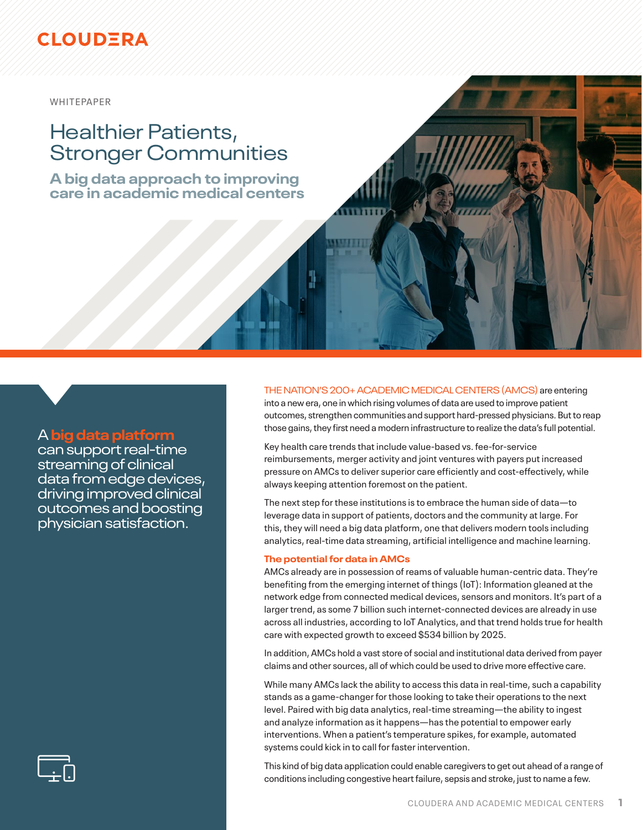### **CLOUDERA**

WHITEPAPER

# Healthier Patients, Stronger Communities

**A big data approach to improving care in academic medical centers**

### A **big data platform**

can support real-time streaming of clinical data from edge devices, driving improved clinical outcomes and boosting physician satisfaction.

### THE NATION'S 200+ ACADEMIC MEDICAL CENTERS (AMCS) are entering

into a new era, one in which rising volumes of data are used to improve patient outcomes, strengthen communities and support hard-pressed physicians. But to reap those gains, they first need a modern infrastructure to realize the data's full potential.

Key health care trends that include value-based vs. fee-for-service reimbursements, merger activity and joint ventures with payers put increased pressure on AMCs to deliver superior care efficiently and cost-effectively, while always keeping attention foremost on the patient.

The next step for these institutions is to embrace the human side of data—to leverage data in support of patients, doctors and the community at large. For this, they will need a big data platform, one that delivers modern tools including analytics, real-time data streaming, artificial intelligence and machine learning.

#### **The potential for data in AMCs**

AMCs already are in possession of reams of valuable human-centric data. They're benefiting from the emerging internet of things (IoT): Information gleaned at the network edge from connected medical devices, sensors and monitors. It's part of a larger trend, as some 7 billion such internet-connected devices are already in use across all industries, according to IoT Analytics, and that trend holds true for health care with expected growth to exceed \$534 billion by 2025.

In addition, AMCs hold a vast store of social and institutional data derived from payer claims and other sources, all of which could be used to drive more effective care.

While many AMCs lack the ability to access this data in real-time, such a capability stands as a game-changer for those looking to take their operations to the next level. Paired with big data analytics, real-time streaming—the ability to ingest and analyze information as it happens—has the potential to empower early interventions. When a patient's temperature spikes, for example, automated systems could kick in to call for faster intervention.

This kind of big data application could enable caregivers to get out ahead of a range of conditions including congestive heart failure, sepsis and stroke, just to name a few.